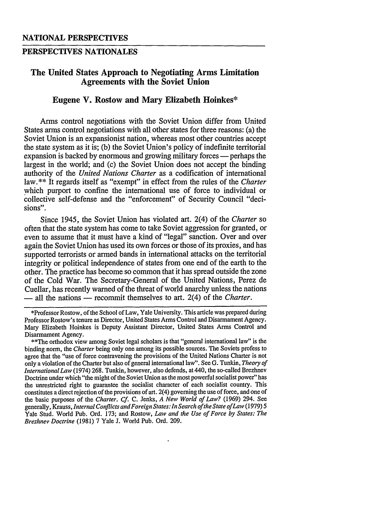## **PERSPECTIVES NATIONALES**

## **The United States Approach to Negotiating Arms Limitation Agreements with the Soviet Union**

## **Eugene V. Rostow and Mary Elizabeth Hoinkes\***

Arms control negotiations with the Soviet Union differ from United States arms control negotiations with all other states for three reasons: (a) the Soviet Union is an expansionist nation, whereas most other countries accept the state system as it is; (b) the Soviet Union's policy of indefinite territorial expansion is backed by enormous and growing military forces **-** perhaps the largest in the world; and (c) the Soviet Union does not accept the binding authority of the *United Nations Charter* as a codification of international law.\*\* It regards itself as "exempt" in effect from the rules of the *Charter* which purport to confine the international use of force to individual or collective self-defense and the "enforcement" of Security Council "decisions".

Since 1945, the Soviet Union has violated art. 2(4) of the *Charter* so often that the state system has come to take Soviet aggression for granted, or even to assume that it must have a kind of "legal" sanction. Over and over again the Soviet Union has used its own forces or those of its proxies, and has supported terrorists or armed bands in international attacks on the territorial integrity or political independence of states from one end of the earth to the other. The practice has become so common that it has spread outside the zone of the Cold War. The Secretary-General of the United Nations, Perez de Cuellar, has recently warned of the threat of world anarchy unless the nations - all the nations - recommit themselves to art. 2(4) of the *Charter*.

\*Professor Rostow, of the School of Law, Yale University. This article was prepared during Professor Rostow's tenure as Director, United States Arms Control and Disarmament Agency. Mary Elizabeth Hoinkes is Deputy Assistant Director, United States Arms Control and Disarmament Agency.

\*\*The orthodox view among Soviet legal scholars is that "general international law" is the binding norm, the Charter being only one among its possible sources. The Soviets profess to agree that the "use of force contravening the provisions of the United Nations Charter is not only a violation of the Charter but also of general international law". See G. Tunkin, *Theory of International Law* (1974) 268. Tunkin, however, also defends, at 440, the so-called Brezhnev Doctrine under which "the might of the Soviet Union as the most powerful socialist power" has the unrestricted right to guarantee the socialist character of each socialist country. This constitutes a direct rejection of the provisions of art. 2(4) governing the use of force, and one of the basic purposes of the *Charter. Cf.* C. Jenks, *A New World of Law?* (1969) 294. See generally, Krauss, *Internal Conflicts and Foreign States: In Search of the State ofLaw* (1979) **5** Yale Stud. World Pub. Ord. 173; and Rostow, *Law and the Use of Force by States: The Brezhnev Doctrine* (1981) 7 Yale J. World Pub. Ord. 209.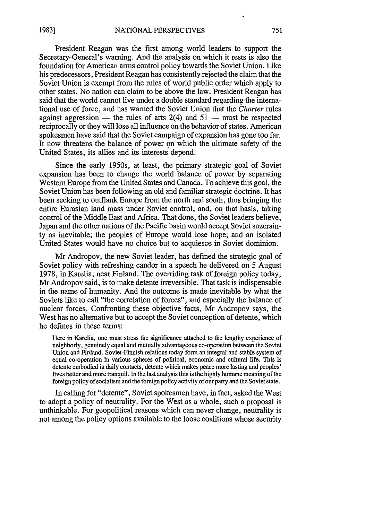President Reagan was the first among world leaders to support the Secretary-General's warning. And the analysis on which it rests is also the foundation for American arms control policy towards the Soviet Union. Like his predecessors, President Reagan has consistently rejected the claim that the Soviet Union is exempt from the rules of world public order which apply to other states. No nation can claim to be above the law. President Reagan has said that the world cannot live under a double standard regarding the international use of force, and has warned the Soviet Union that the *Charter* rules against aggression — the rules of arts  $2(4)$  and  $51$  — must be respected reciprocally or they will lose all influence on the behavior of states. American spokesmen have said that the Soviet campaign of expansion has gone too far. It now threatens the balance of power on which the ultimate safety of the United States, its allies and its interests depend.

Since the early 1950s, at least, the primary strategic goal of Soviet expansion has been to change the world balance of power by separating Western Europe from the United States and Canada. To achieve this goal, the Soviet Union has been following an old and familiar strategic doctrine. It has been seeking to outflank Europe from the north and south, thus bringing the entire Eurasian land mass under Soviet control, and, on that basis, taking control of the Middle East and Africa. That done, the Soviet leaders believe, Japan and the other nations of the Pacific basin would accept Soviet suzerainty as inevitable; the peoples of Europe would lose hope; and an isolated United States would have no choice but to acquiesce in Soviet dominion.

Mr Andropov, the new Soviet leader, has defined the strategic goal of Soviet policy with refreshing candor in a speech he delivered on 5 August 1978, in Karelia, near Finland. The overriding task of foreign policy today, Mr Andropov said, is to make detente irreversible. That task is indispensable in the name of humanity. And the outcome is made inevitable by what the Soviets like to call "the correlation of forces", and especially the balance of nuclear forces. Confronting these objective facts, Mr Andropov says, the West has no alternative but to accept the Soviet conception of detente, which he defines in these terms:

Here in Karelia, one must stress the significance attached to the lengthy experience of neighborly, genuinely equal and mutually advantageous co-operation between the Soviet Union and Finland. Soviet-Finnish relations today form an integral and stable system of equal co-operation in various spheres of political, economic and cultural life. This is detente embodied in daily contacts, detente which makes peace more lasting and peoples' lives better and more tranquil. In the last analysis this is the highly humane meaning of the foreign policy of socialism and the foreign policy activity of our party and the Soviet state.

In calling for "detente', Soviet spokesmen have, in fact, asked the West to adopt a policy of neutrality. For the West as a whole, such a proposal is unthinkable. For geopolitical reasons which can never change, neutrality is not among the policy options available to the loose coalitions whose security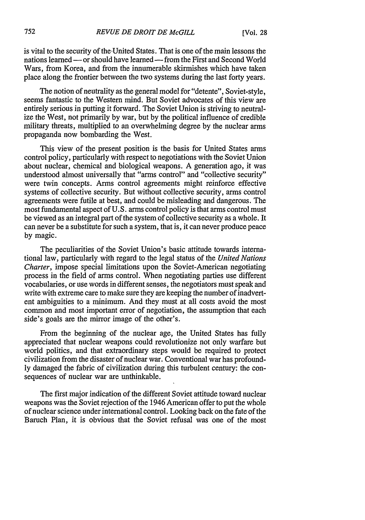is vital to the security of the'United States. That is one of the main lessons the nations learned **-** or should have learned **-** from the First and Second World Wars, from Korea, and from the innumerable skirmishes which have taken place along the frontier between the two systems during the last forty years.

The notion of neutrality as the general model for "detente", Soviet-style, seems fantastic to the Western mind. But Soviet advocates of this view are entirely serious in putting it forward. The Soviet Union is striving to neutralize the West, not primarily by war, but by the political influence of credible military threats, multiplied to an overwhelming degree by the nuclear arms propaganda now bombarding the West.

This view of the present position is the basis for United States arms control policy, particularly with respect to negotiations with the Soviet Union about nuclear, chemical and biological weapons. A generation ago, it was understood almost universally that "arms control" and "collective security" were twin concepts. Arms control agreements might reinforce effective systems of collective security. But without collective security, arms control agreements were futile at best, and could be misleading and dangerous. The most fundamental aspect of U.S. arms control policy is that arms control must be viewed as an integral part of the system of collective security as a whole. It can never be a substitute for such a system, that is, it can never produce peace by magic.

The peculiarities of the Soviet Union's basic attitude towards international law, particularly with regard to the legal status of the *United Nations Charter,* impose special limitations upon the Soviet-American negotiating process in the field of arms control. When negotiating parties use different vocabularies, or use words in different senses, the negotiators must speak and write with extreme care to make sure they are keeping the number of inadvertent ambiguities to a minimum. And they must at all costs avoid the most common and most important error of negotiation, the assumption that each side's goals are the mirror image of the other's.

From the beginning of the nuclear age, the United States has fully appreciated that nuclear weapons could revolutionize not only warfare but world politics, and that extraordinary steps would be required to protect civilization from the disaster of nuclear war. Conventional war has profoundly damaged the fabric of civilization during this turbulent century: the consequences of nuclear war are unthinkable.

The first major indication of the different Soviet attitude toward nuclear weapons was the Soviet rejection of the 1946 American offer to put the whole of nuclear science under international control. Looking back on the fate of the Baruch Plan, it is obvious that the Soviet refusal was one of the most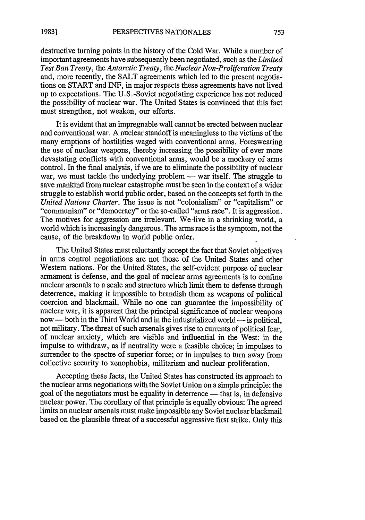destructive turning points in the history of the Cold War. While a number of important agreements have subsequently been negotiated, such as the *Limited Test Ban Treaty,* the *Antarctic Treaty, the Nuclear Non-Proliferation Treaty* and, more recently, the SALT agreements which led to the present negotiations on START and INF, in major respects these agreements have not lived up to expectations. The U.S.-Soviet negotiating experience has not reduced the possibility of nuclear war. The United States is convinced that this fact must strengthen, not weaken, our efforts.

It is evident that an impregnable wall cannot be erected between nuclear and conventional war. A nuclear standoff is meaningless to the victims of the many eruptions of hostilities waged with conventional arms. Foreswearing the use of nuclear weapons, thereby increasing the possibility of ever more devastating conflicts with conventional arms, would be a mockery of arms control. In the final analysis, if we are to eliminate the possibility of nuclear war, we must tackle the underlying problem  $-$  war itself. The struggle to save mankind from nuclear catastrophe must be seen in the context of a wider struggle to establish world public order, based on the concepts set forth in the *United Nations Charter.* The issue is not "colonialism" or "capitalism" or "communism" or "democracy" or the so-called "arms race". It is aggression. The motives for aggression are irrelevant. We live in a shrinking world, a world which is increasingly dangerous. The arms race is the symptom, not the cause, of the breakdown in world public order.

The United States must reluctantly accept the fact that Soviet objectives in arms control negotiations are not those of the United States and other Western nations. For the United States, the self-evident purpose of nuclear armament is defense, and the goal of nuclear arms agreements is to confine nuclear arsenals to a scale and structure which limit them to defense through deterrence, making it impossible to brandish them as weapons of political coercion and blackmail. While no one can guarantee the impossibility of nuclear war, it is apparent that the principal significance of nuclear weapons now — both in the Third World and in the industrialized world — is political, not military. The threat of such arsenals gives rise to currents of political fear, of nuclear anxiety, which are visible and influential in the West: in the impulse to withdraw, as if neutrality were a feasible choice; in impulses to surrender to the spectre of superior force; or in impulses to turn away from collective security to xenophobia, militarism and nuclear proliferation.

Accepting these facts, the United States has constructed its approach to the nuclear arms negotiations with the Soviet Union on a simple principle: the goal of the negotiators must be equality in deterrence — that is, in defensive nuclear power. The corollary of that principle is equally obvious: The agreed limits on nuclear arsenals must make impossible any Soviet nuclear blackmail based on the plausible threat of a successful aggressive first strike. Only this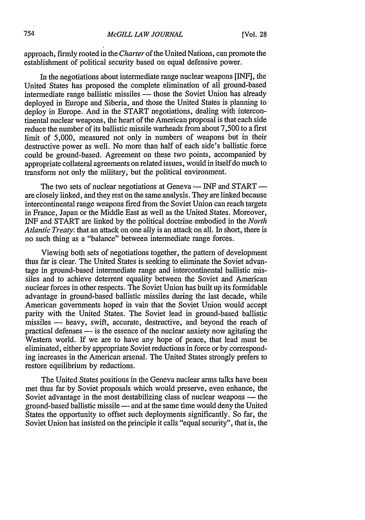approach, firmly rooted in the *Charter* of the United Nations, can promote the establishment of political security based on equal defensive power.

In the negotiations about intermediate range nuclear weapons [INF], the United States has proposed the complete elimination of all ground-based intermediate range ballistic missiles — those the Soviet Union has already deployed in Europe and Siberia, and those the United States is planning to deploy in Europe. And in the START negotiations, dealing with intercontinental nuclear weapons, the heart of the American proposal is that each side reduce the number of its ballistic missile warheads from about 7,500 to a first limit of 5,000, measured not only in numbers of weapons but in their destructive power as well. No more than half of each side's ballistic force could be ground-based. Agreement on these two points, accompanied by appropriate collateral agreements on related issues, would in itself do much to transform not only the military, but the political environment.

The two sets of nuclear negotiations at Geneva — INF and START are closely linked, and they rest on the same analysis. They are linked because intercontinental range weapons fired from the Soviet Union can reach targets in France, Japan or the Middle East as well as the United States. Moreover, INF and START are linked by the political doctrine embodied in the *North Atlantic Treaty:* that an attack on one ally is an attack on all. In short, there is no such thing as a "balance" between intermediate range forces.

Viewing both sets of negotiations together, the pattern of development thus far is clear. The United States is seeking to eliminate the Soviet advantage in ground-based intermediate range and intercontinental ballistic missiles and to achieve deterrent equality between the Soviet and American nuclear forces in other respects. The Soviet Union has built up its formidable advantage in ground-based ballistic missiles during the last decade, while American governments hoped in vain that the Soviet Union would accept parity with the United States. The Soviet lead in ground-based ballistic missiles - heavy, swift, accurate, destructive, and beyond the reach of practical defenses **-** is the essence of the nuclear anxiety now agitating the Western world. If we are to have any hope of peace, that lead must be eliminated, either by appropriate Soviet reductions in force or by corresponding increases in the American arsenal. The United States strongly prefers to restore equilibrium by reductions.

The United States positions in the Geneva nuclear arms talks have been met thus far by Soviet proposals which would preserve, even enhance, the Soviet advantage in the most destabilizing class of nuclear weapons — the ground-based ballistic missile - and at the same time would deny the United States the opportunity to offset such deployments significantly. So far, the Soviet Union has insisted on the principle it calls "equal security", that is, the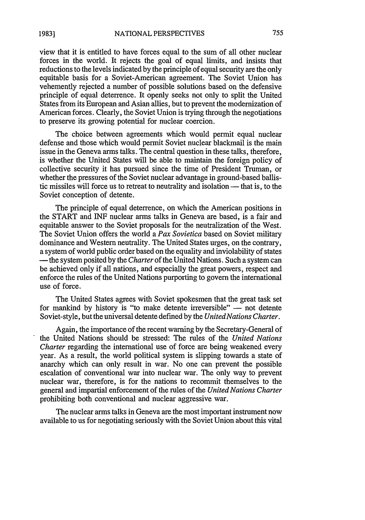view that it is entitled to have forces equal to the sum of all other nuclear forces in the world. It rejects the goal of equal limits, and insists that reductions to the levels indicated by the principle of equal security are the only equitable basis for a Soviet-American agreement. The Soviet Union has vehemently rejected a number of possible solutions based on the defensive principle of equal deterrence. It openly seeks not only to split the United States from its European and Asian allies, but to prevent the modernization of American forces. Clearly, the Soviet Union is trying through the negotiations to preserve its growing potential for nuclear coercion.

The choice between agreements which would permit equal nuclear defense and those which would permit Soviet nuclear blackmail is the main issue in the Geneva arms talks. The central question in these talks, therefore, is whether the United States will be able to maintain the foreign policy of collective security it has pursued since the time of President Truman, or whether the pressures of the Soviet nuclear advantage in ground-based ballistic missiles will force us to retreat to neutrality and isolation — that is, to the Soviet conception of detente.

The principle of equal deterrence, on which the American positions in the START and INF nuclear arms talks in Geneva are based, is a fair and equitable answer to the Soviet proposals for the neutralization of the West. The Soviet Union offers the world a *Pax Sovietica* based on Soviet military dominance and Western neutrality. The United States urges, on the contrary, a system of world public order based on the equality and inviolability of states **-** the system posited by the *Charter* of the United Nations. Such a system can be achieved only if all nations, and especially the great powers, respect and enforce the rules of the United Nations purporting to govern the international use of force.

The United States agrees with Soviet spokesmen that the great task set for mankind by history is "to make detente irreversible"  $-$  not detente Soviet-style, but the universal detente defined by the *United Nations Charter.*

Again, the importance of the recent warning by the Secretary-General of the United Nations should be stressed: The rules of the *United Nations Charter* regarding the international use of force are being weakened every year. As a result, the world political system is slipping towards a state of anarchy which can only result in war. No one can prevent the possible escalation of conventional war into nuclear war. The only way to prevent nuclear war, therefore, is for the nations to recommit themselves to the general and impartial enforcement of the rules of the *United Nations Charter* prohibiting both conventional and nuclear aggressive war.

The nuclear arms talks in Geneva are the most important instrument now available to us for negotiating seriously with the Soviet Union about this vital